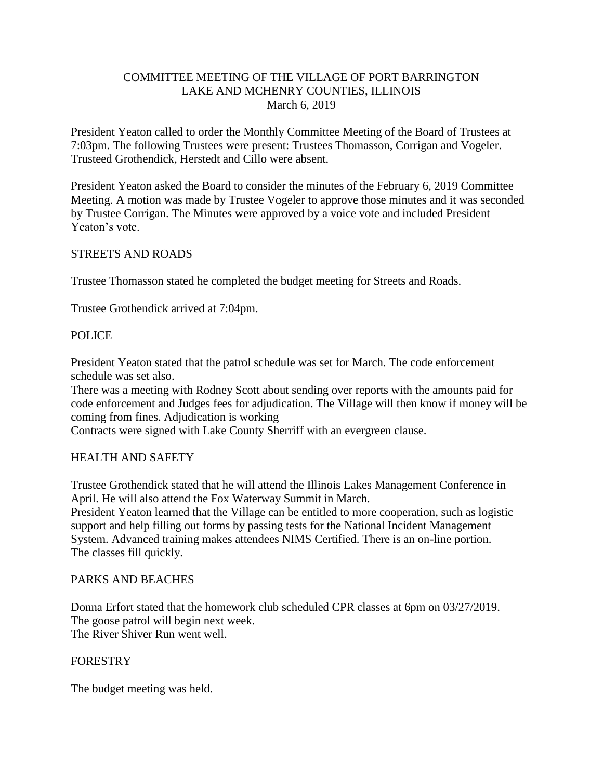## COMMITTEE MEETING OF THE VILLAGE OF PORT BARRINGTON LAKE AND MCHENRY COUNTIES, ILLINOIS March 6, 2019

President Yeaton called to order the Monthly Committee Meeting of the Board of Trustees at 7:03pm. The following Trustees were present: Trustees Thomasson, Corrigan and Vogeler. Trusteed Grothendick, Herstedt and Cillo were absent.

President Yeaton asked the Board to consider the minutes of the February 6, 2019 Committee Meeting. A motion was made by Trustee Vogeler to approve those minutes and it was seconded by Trustee Corrigan. The Minutes were approved by a voice vote and included President Yeaton's vote.

## STREETS AND ROADS

Trustee Thomasson stated he completed the budget meeting for Streets and Roads.

Trustee Grothendick arrived at 7:04pm.

## POLICE

President Yeaton stated that the patrol schedule was set for March. The code enforcement schedule was set also.

There was a meeting with Rodney Scott about sending over reports with the amounts paid for code enforcement and Judges fees for adjudication. The Village will then know if money will be coming from fines. Adjudication is working

Contracts were signed with Lake County Sherriff with an evergreen clause.

## HEALTH AND SAFETY

Trustee Grothendick stated that he will attend the Illinois Lakes Management Conference in April. He will also attend the Fox Waterway Summit in March.

President Yeaton learned that the Village can be entitled to more cooperation, such as logistic support and help filling out forms by passing tests for the National Incident Management System. Advanced training makes attendees NIMS Certified. There is an on-line portion. The classes fill quickly.

## PARKS AND BEACHES

Donna Erfort stated that the homework club scheduled CPR classes at 6pm on 03/27/2019. The goose patrol will begin next week. The River Shiver Run went well.

## FORESTRY

The budget meeting was held.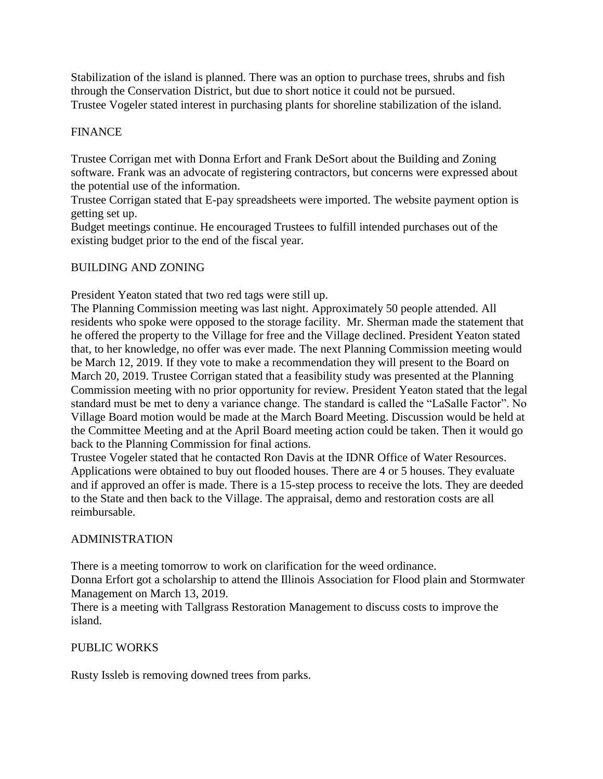Stabilization of the island is planned. There was an option to purchase trees, shrubs and fish through the Conservation District, but due to short notice it could not be pursued. Trustee Vogeler stated interest in purchasing plants for shoreline stabilization of the island.

## FINANCE

Trustee Corrigan met with Donna Erfort and Frank DeSort about the Building and Zoning software. Frank was an advocate of registering contractors, but concerns were expressed about the potential use of the information.

Trustee Corrigan stated that E-pay spreadsheets were imported. The website payment option is getting set up.

Budget meetings continue. He encouraged Trustees to fulfill intended purchases out of the existing budget prior to the end of the fiscal year.

## BUILDING AND ZONING

President Yeaton stated that two red tags were still up.

The Planning Commission meeting was last night. Approximately 50 people attended. All residents who spoke were opposed to the storage facility. Mr. Sherman made the statement that he offered the property to the Village for free and the Village declined. President Yeaton stated that, to her knowledge, no offer was ever made. The next Planning Commission meeting would be March 12, 2019. If they vote to make a recommendation they will present to the Board on March 20, 2019. Trustee Corrigan stated that a feasibility study was presented at the Planning Commission meeting with no prior opportunity for review. President Yeaton stated that the legal standard must be met to deny a variance change. The standard is called the "LaSalle Factor". No Village Board motion would be made at the March Board Meeting. Discussion would be held at the Committee Meeting and at the April Board meeting action could be taken. Then it would go back to the Planning Commission for final actions.

Trustee Vogeler stated that he contacted Ron Davis at the IDNR Office of Water Resources. Applications were obtained to buy out flooded houses. There are 4 or 5 houses. They evaluate and if approved an offer is made. There is a 15-step process to receive the lots. They are deeded to the State and then back to the Village. The appraisal, demo and restoration costs are all reimbursable.

## ADMINISTRATION

There is a meeting tomorrow to work on clarification for the weed ordinance.

Donna Erfort got a scholarship to attend the Illinois Association for Flood plain and Stormwater Management on March 13, 2019.

There is a meeting with Tallgrass Restoration Management to discuss costs to improve the island.

## PUBLIC WORKS

Rusty Issleb is removing downed trees from parks.